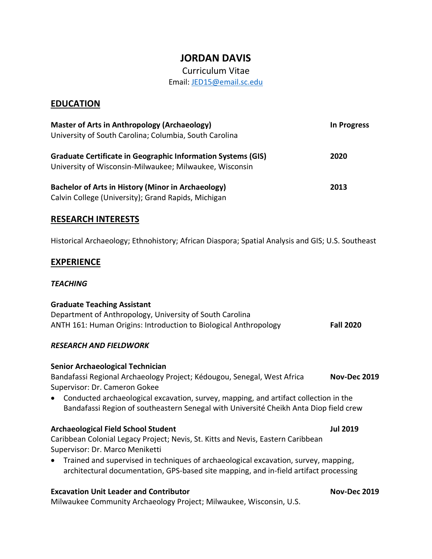# **JORDAN DAVIS**

## Curriculum Vitae Email: [JED15@email.sc.edu](mailto:JED15@email.sc.edu)

## **EDUCATION**

| <b>Master of Arts in Anthropology (Archaeology)</b><br>University of South Carolina; Columbia, South Carolina                  | <b>In Progress</b> |
|--------------------------------------------------------------------------------------------------------------------------------|--------------------|
| <b>Graduate Certificate in Geographic Information Systems (GIS)</b><br>University of Wisconsin-Milwaukee; Milwaukee, Wisconsin | 2020               |
| <b>Bachelor of Arts in History (Minor in Archaeology)</b><br>Calvin College (University); Grand Rapids, Michigan               | 2013               |

### **RESEARCH INTERESTS**

Historical Archaeology; Ethnohistory; African Diaspora; Spatial Analysis and GIS; U.S. Southeast

## **EXPERIENCE**

#### *TEACHING*

#### **Graduate Teaching Assistant**

Department of Anthropology, University of South Carolina ANTH 161: Human Origins: Introduction to Biological Anthropology **Fall 2020**

#### *RESEARCH AND FIELDWORK*

#### **Senior Archaeological Technician**

Bandafassi Regional Archaeology Project; Kédougou, Senegal, West Africa **Nov-Dec 2019** Supervisor: Dr. Cameron Gokee

• Conducted archaeological excavation, survey, mapping, and artifact collection in the Bandafassi Region of southeastern Senegal with Université Cheikh Anta Diop field crew

#### **Archaeological Field School Student Jul 2019**

Caribbean Colonial Legacy Project; Nevis, St. Kitts and Nevis, Eastern Caribbean Supervisor: Dr. Marco Meniketti

• Trained and supervised in techniques of archaeological excavation, survey, mapping, architectural documentation, GPS-based site mapping, and in-field artifact processing

#### **Excavation Unit Leader and Contributor Nov-Dec 2019**

Milwaukee Community Archaeology Project; Milwaukee, Wisconsin, U.S.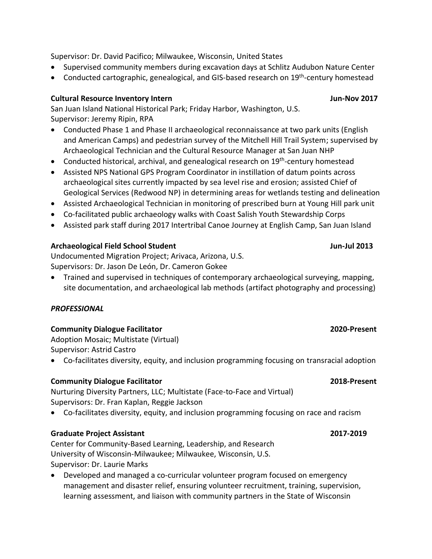Supervisor: Dr. David Pacifico; Milwaukee, Wisconsin, United States

- Supervised community members during excavation days at Schlitz Audubon Nature Center
- Conducted cartographic, genealogical, and GIS-based research on 19<sup>th</sup>-century homestead

## **Cultural Resource Inventory Intern Jun-Nov 2017**

San Juan Island National Historical Park; Friday Harbor, Washington, U.S. Supervisor: Jeremy Ripin, RPA

- Conducted Phase 1 and Phase II archaeological reconnaissance at two park units (English and American Camps) and pedestrian survey of the Mitchell Hill Trail System; supervised by Archaeological Technician and the Cultural Resource Manager at San Juan NHP
- Conducted historical, archival, and genealogical research on 19<sup>th</sup>-century homestead
- Assisted NPS National GPS Program Coordinator in instillation of datum points across archaeological sites currently impacted by sea level rise and erosion; assisted Chief of Geological Services (Redwood NP) in determining areas for wetlands testing and delineation
- Assisted Archaeological Technician in monitoring of prescribed burn at Young Hill park unit
- Co-facilitated public archaeology walks with Coast Salish Youth Stewardship Corps
- Assisted park staff during 2017 Intertribal Canoe Journey at English Camp, San Juan Island

## **Archaeological Field School Student Jun-Jul 2013**

Undocumented Migration Project; Arivaca, Arizona, U.S. Supervisors: Dr. Jason De León, Dr. Cameron Gokee

• Trained and supervised in techniques of contemporary archaeological surveying, mapping, site documentation, and archaeological lab methods (artifact photography and processing)

## *PROFESSIONAL*

## **Community Dialogue Facilitator 2020-Present**

Adoption Mosaic; Multistate (Virtual) Supervisor: Astrid Castro

• Co-facilitates diversity, equity, and inclusion programming focusing on transracial adoption

## **Community Dialogue Facilitator 2018-Present**

Nurturing Diversity Partners, LLC; Multistate (Face-to-Face and Virtual) Supervisors: Dr. Fran Kaplan, Reggie Jackson

• Co-facilitates diversity, equity, and inclusion programming focusing on race and racism

## **Graduate Project Assistant 2017-2019**

Center for Community-Based Learning, Leadership, and Research University of Wisconsin-Milwaukee; Milwaukee, Wisconsin, U.S. Supervisor: Dr. Laurie Marks

• Developed and managed a co-curricular volunteer program focused on emergency management and disaster relief, ensuring volunteer recruitment, training, supervision, learning assessment, and liaison with community partners in the State of Wisconsin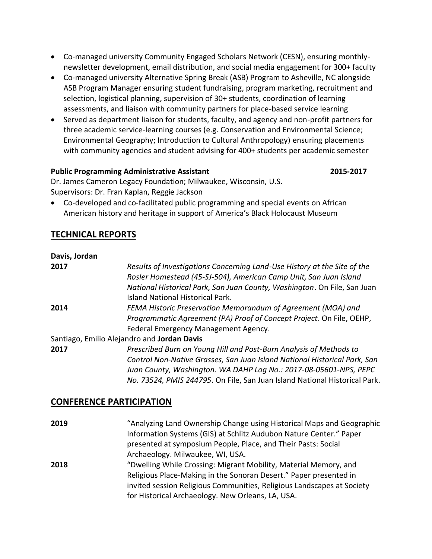- Co-managed university Community Engaged Scholars Network (CESN), ensuring monthlynewsletter development, email distribution, and social media engagement for 300+ faculty
- Co-managed university Alternative Spring Break (ASB) Program to Asheville, NC alongside ASB Program Manager ensuring student fundraising, program marketing, recruitment and selection, logistical planning, supervision of 30+ students, coordination of learning assessments, and liaison with community partners for place-based service learning
- Served as department liaison for students, faculty, and agency and non-profit partners for three academic service-learning courses (e.g. Conservation and Environmental Science; Environmental Geography; Introduction to Cultural Anthropology) ensuring placements with community agencies and student advising for 400+ students per academic semester

#### **Public Programming Administrative Assistant 2015-2017**

Dr. James Cameron Legacy Foundation; Milwaukee, Wisconsin, U.S. Supervisors: Dr. Fran Kaplan, Reggie Jackson

• Co-developed and co-facilitated public programming and special events on African American history and heritage in support of America's Black Holocaust Museum

## **TECHNICAL REPORTS**

| Davis, Jordan |                                                                                                              |
|---------------|--------------------------------------------------------------------------------------------------------------|
| 2017          | Results of Investigations Concerning Land-Use History at the Site of the                                     |
|               | Rosler Homestead (45-SJ-504), American Camp Unit, San Juan Island                                            |
|               | National Historical Park, San Juan County, Washington. On File, San Juan<br>Island National Historical Park. |
| 2014          | FEMA Historic Preservation Memorandum of Agreement (MOA) and                                                 |
|               | Programmatic Agreement (PA) Proof of Concept Project. On File, OEHP,                                         |
|               | Federal Emergency Management Agency.                                                                         |
|               | Santiago, Emilio Alejandro and Jordan Davis                                                                  |
| 2017          | Prescribed Burn on Young Hill and Post-Burn Analysis of Methods to                                           |
|               | Control Non-Native Grasses, San Juan Island National Historical Park, San                                    |
|               | Juan County, Washington. WA DAHP Log No.: 2017-08-05601-NPS, PEPC                                            |
|               | No. 73524, PMIS 244795. On File, San Juan Island National Historical Park.                                   |

## **CONFERENCE PARTICIPATION**

**2019** "Analyzing Land Ownership Change using Historical Maps and Geographic Information Systems (GIS) at Schlitz Audubon Nature Center." Paper presented at symposium People, Place, and Their Pasts: Social Archaeology. Milwaukee, WI, USA. **2018** "Dwelling While Crossing: Migrant Mobility, Material Memory, and Religious Place-Making in the Sonoran Desert." Paper presented in invited session Religious Communities, Religious Landscapes at Society for Historical Archaeology. New Orleans, LA, USA.